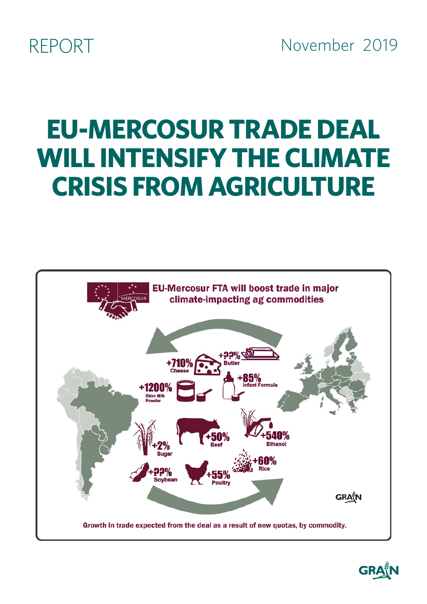REPORT November 2019

# **EU-MERCOSUR TRADE DEAL WILL INTENSIFY THE CLIMATE CRISIS FROM AGRICULTURE**



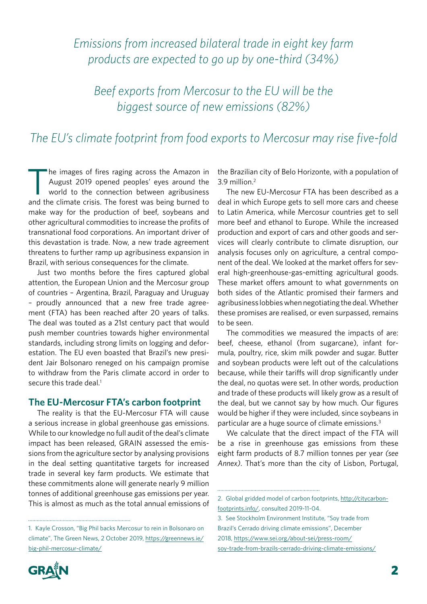# *Emissions from increased bilateral trade in eight key farm products are expected to go up by one-third (34%)*

*Beef exports from Mercosur to the EU will be the biggest source of new emissions (82%)*

## *The EU's climate footprint from food exports to Mercosur may rise five-fold*

The images of fires raging across the Amazon in<br>August 2019 opened peoples' eyes around the<br>world to the connection between agribusiness August 2019 opened peoples' eyes around the world to the connection between agribusiness and the climate crisis. The forest was being burned to make way for the production of beef, soybeans and other agricultural commodities to increase the profits of transnational food corporations. An important driver of this devastation is trade. Now, a new trade agreement threatens to further ramp up agribusiness expansion in Brazil, with serious consequences for the climate.

Just two months before the fires captured global attention, the European Union and the Mercosur group of countries – Argentina, Brazil, Paraguay and Uruguay – proudly announced that a new free trade agreement (FTA) has been reached after 20 years of talks. The deal was touted as a 21st century pact that would push member countries towards higher environmental standards, including strong limits on logging and deforestation. The EU even boasted that Brazil's new president Jair Bolsonaro reneged on his campaign promise to withdraw from the Paris climate accord in order to secure this trade deal.<sup>1</sup>

#### **The EU-Mercosur FTA's carbon footprint**

The reality is that the EU-Mercosur FTA will cause a serious increase in global greenhouse gas emissions. While to our knowledge no full audit of the deal's climate impact has been released, GRAIN assessed the emissions from the agriculture sector by analysing provisions in the deal setting quantitative targets for increased trade in several key farm products. We estimate that these commitments alone will generate nearly 9 million tonnes of additional greenhouse gas emissions per year. This is almost as much as the total annual emissions of



the Brazilian city of Belo Horizonte, with a population of 3.9 million.2

The new EU-Mercosur FTA has been described as a deal in which Europe gets to sell more cars and cheese to Latin America, while Mercosur countries get to sell more beef and ethanol to Europe. While the increased production and export of cars and other goods and services will clearly contribute to climate disruption, our analysis focuses only on agriculture, a central component of the deal. We looked at the market offers for several high-greenhouse-gas-emitting agricultural goods. These market offers amount to what governments on both sides of the Atlantic promised their farmers and agribusiness lobbies when negotiating the deal. Whether these promises are realised, or even surpassed, remains to be seen.

The commodities we measured the impacts of are: beef, cheese, ethanol (from sugarcane), infant formula, poultry, rice, skim milk powder and sugar. Butter and soybean products were left out of the calculations because, while their tariffs will drop significantly under the deal, no quotas were set. In other words, production and trade of these products will likely grow as a result of the deal, but we cannot say by how much. Our figures would be higher if they were included, since soybeans in particular are a huge source of climate emissions.<sup>3</sup>

We calculate that the direct impact of the FTA will be a rise in greenhouse gas emissions from these eight farm products of 8.7 million tonnes per year *(see Annex)*. That's more than the city of Lisbon, Portugal,

<sup>1.</sup> Kayle Crosson, "Big Phil backs Mercosur to rein in Bolsonaro on climate", The Green News, 2 October 2019, [https://greennews.ie/](https://greennews.ie/big-phil-mercosur-climate/) [big-phil-mercosur-climate/](https://greennews.ie/big-phil-mercosur-climate/)

<sup>2.</sup> Global gridded model of carbon footprints, [http://citycarbon](http://citycarbonfootprints.info/)[footprints.info/,](http://citycarbonfootprints.info/) consulted 2019-11-04.

<sup>3.</sup> See Stockholm Environment Institute, "Soy trade from Brazil's Cerrado driving climate emissions", December 2018, [https://www.sei.org/about-sei/press-room/](https://www.sei.org/about-sei/press-room/soy-trade-from-brazils-cerrado-driving-climate-emissions/) [soy-trade-from-brazils-cerrado-driving-climate-emissions/](https://www.sei.org/about-sei/press-room/soy-trade-from-brazils-cerrado-driving-climate-emissions/)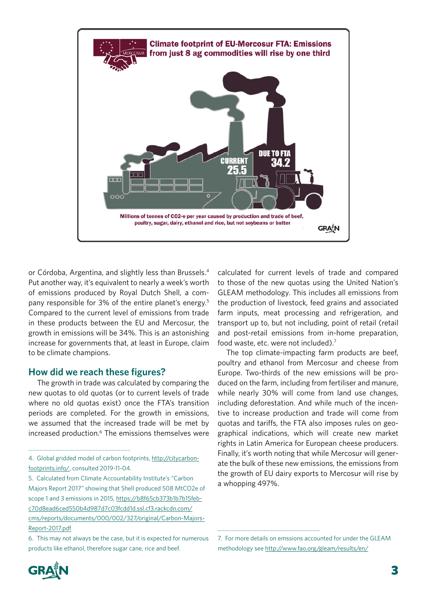

or Córdoba, Argentina, and slightly less than Brussels.4 Put another way, it's equivalent to nearly a week's worth of emissions produced by Royal Dutch Shell, a company responsible for 3% of the entire planet's energy.5 Compared to the current level of emissions from trade in these products between the EU and Mercosur, the growth in emissions will be 34%. This is an astonishing increase for governments that, at least in Europe, claim to be climate champions.

#### **How did we reach these figures?**

The growth in trade was calculated by comparing the new quotas to old quotas (or to current levels of trade where no old quotas exist) once the FTA's transition periods are completed. For the growth in emissions, we assumed that the increased trade will be met by increased production.<sup>6</sup> The emissions themselves were calculated for current levels of trade and compared to those of the new quotas using the United Nation's GLEAM methodology. This includes all emissions from the production of livestock, feed grains and associated farm inputs, meat processing and refrigeration, and transport up to, but not including, point of retail (retail and post-retail emissions from in-home preparation, food waste, etc. were not included).7

The top climate-impacting farm products are beef, poultry and ethanol from Mercosur and cheese from Europe. Two-thirds of the new emissions will be produced on the farm, including from fertiliser and manure, while nearly 30% will come from land use changes, including deforestation. And while much of the incentive to increase production and trade will come from quotas and tariffs, the FTA also imposes rules on geographical indications, which will create new market rights in Latin America for European cheese producers. Finally, it's worth noting that while Mercosur will generate the bulk of these new emissions, the emissions from the growth of EU dairy exports to Mercosur will rise by a whopping 497%.



<sup>4.</sup> Global gridded model of carbon footprints, [http://citycarbon](http://citycarbonfootprints.info/)[footprints.info/,](http://citycarbonfootprints.info/) consulted 2019-11-04.

<sup>5.</sup> Calculated from Climate Accountability Institute's "Carbon Majors Report 2017" showing that Shell produced 508 MtCO2e of scope 1 and 3 emissions in 2015, [https://b8f65cb373b1b7b15feb](https://b8f65cb373b1b7b15feb-c70d8ead6ced550b4d987d7c03fcdd1d.ssl.cf3.rackcdn.com/cms/reports/documents/000/002/327/original/Carbon-Majors-Report-2017.pdf)[c70d8ead6ced550b4d987d7c03fcdd1d.ssl.cf3.rackcdn.com/](https://b8f65cb373b1b7b15feb-c70d8ead6ced550b4d987d7c03fcdd1d.ssl.cf3.rackcdn.com/cms/reports/documents/000/002/327/original/Carbon-Majors-Report-2017.pdf) [cms/reports/documents/000/002/327/original/Carbon-Majors-](https://b8f65cb373b1b7b15feb-c70d8ead6ced550b4d987d7c03fcdd1d.ssl.cf3.rackcdn.com/cms/reports/documents/000/002/327/original/Carbon-Majors-Report-2017.pdf)[Report-2017.pdf](https://b8f65cb373b1b7b15feb-c70d8ead6ced550b4d987d7c03fcdd1d.ssl.cf3.rackcdn.com/cms/reports/documents/000/002/327/original/Carbon-Majors-Report-2017.pdf)

<sup>6.</sup> This may not always be the case, but it is expected for numerous products like ethanol, therefore sugar cane, rice and beef.

<sup>7.</sup> For more details on emssions accounted for under the GLEAM methodology see http://www.fao.org/gleam/results/en/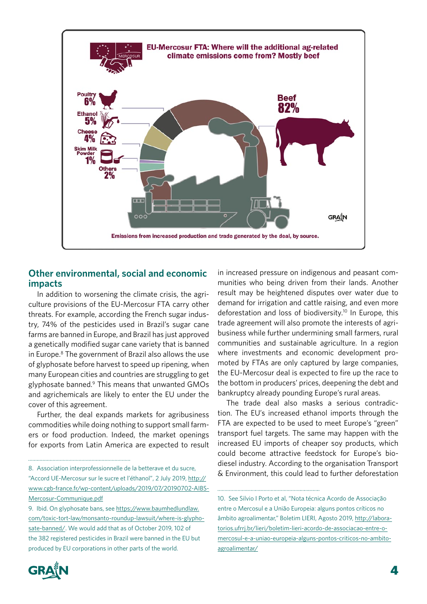

#### **Other environmental, social and economic impacts**

In addition to worsening the climate crisis, the agriculture provisions of the EU-Mercosur FTA carry other threats. For example, according the French sugar industry, 74% of the pesticides used in Brazil's sugar cane farms are banned in Europe, and Brazil has just approved a genetically modified sugar cane variety that is banned in Europe.<sup>8</sup> The government of Brazil also allows the use of glyphosate before harvest to speed up ripening, when many European cities and countries are struggling to get glyphosate banned.<sup>9</sup> This means that unwanted GMOs and agrichemicals are likely to enter the EU under the cover of this agreement.

Further, the deal expands markets for agribusiness commodities while doing nothing to support small farmers or food production. Indeed, the market openings for exports from Latin America are expected to result

8. Association interprofessionnelle de la betterave et du sucre, "Accord UE-Mercosur sur le sucre et l'éthanol", 2 July 2019, [http://](http://www.cgb-france.fr/wp-content/uploads/2019/07/20190702-AIBS-Mercosur-Communique.pdf) [www.cgb-france.fr/wp-content/uploads/2019/07/20190702-AIBS-](http://www.cgb-france.fr/wp-content/uploads/2019/07/20190702-AIBS-Mercosur-Communique.pdf)[Mercosur-Communique.pdf](http://www.cgb-france.fr/wp-content/uploads/2019/07/20190702-AIBS-Mercosur-Communique.pdf)

in increased pressure on indigenous and peasant communities who being driven from their lands. Another result may be heightened disputes over water due to demand for irrigation and cattle raising, and even more deforestation and loss of biodiversity.<sup>10</sup> In Europe, this trade agreement will also promote the interests of agribusiness while further undermining small farmers, rural communities and sustainable agriculture. In a region where investments and economic development promoted by FTAs are only captured by large companies, the EU-Mercosur deal is expected to fire up the race to the bottom in producers' prices, deepening the debt and bankruptcy already pounding Europe's rural areas.

The trade deal also masks a serious contradiction. The EU's increased ethanol imports through the FTA are expected to be used to meet Europe's "green" transport fuel targets. The same may happen with the increased EU imports of cheaper soy products, which could become attractive feedstock for Europe's biodiesel industry. According to the organisation Transport & Environment, this could lead to further deforestation



. . . . . .

<sup>9.</sup> Ibid. On glyphosate bans, see [https://www.baumhedlundlaw.](https://www.baumhedlundlaw.com/toxic-tort-law/monsanto-roundup-lawsuit/where-is-glyphosate-banned/) [com/toxic-tort-law/monsanto-roundup-lawsuit/where-is-glypho](https://www.baumhedlundlaw.com/toxic-tort-law/monsanto-roundup-lawsuit/where-is-glyphosate-banned/)[sate-banned/](https://www.baumhedlundlaw.com/toxic-tort-law/monsanto-roundup-lawsuit/where-is-glyphosate-banned/). We would add that as of October 2019, 102 of the 382 registered pesticides in Brazil were banned in the EU but produced by EU corporations in other parts of the world.

<sup>10.</sup> See Silvio I Porto et al, "Nota técnica Acordo de Associação entre o Mercosul e a União Europeia: alguns pontos críticos no âmbito agroalimentar," Boletim LIERI, Agosto 2019, http://laboratorios.ufrrj.br/lieri/boletim-lieri-acordo-de-associacao-entre-omercosul-e-a-uniao-europeia-alguns-pontos-criticos-no-ambitoagroalimentar/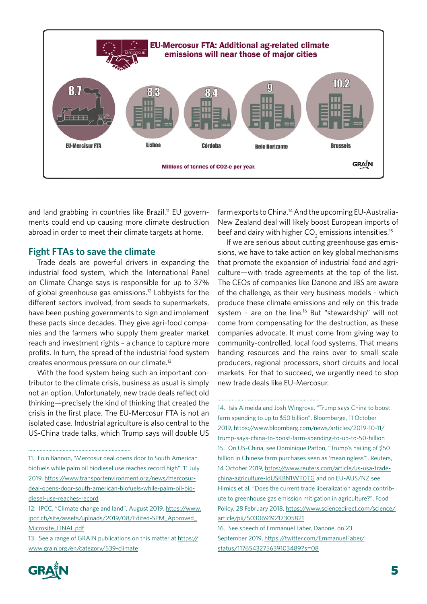

and land grabbing in countries like Brazil.<sup>11</sup> EU governments could end up causing more climate destruction abroad in order to meet their climate targets at home.

#### **Fight FTAs to save the climate**

Trade deals are powerful drivers in expanding the industrial food system, which the International Panel on Climate Change says is responsible for up to 37% of global greenhouse gas emissions.<sup>12</sup> Lobbyists for the different sectors involved, from seeds to supermarkets, have been pushing governments to sign and implement these pacts since decades. They give agri-food companies and the farmers who supply them greater market reach and investment rights – a chance to capture more profits. In turn, the spread of the industrial food system creates enormous pressure on our climate.13

With the food system being such an important contributor to the climate crisis, business as usual is simply not an option. Unfortunately, new trade deals reflect old thinking—precisely the kind of thinking that created the crisis in the first place. The EU-Mercosur FTA is not an isolated case. Industrial agriculture is also central to the US-China trade talks, which Trump says will double US

farm exports to China.<sup>14</sup> And the upcoming EU-Australia-New Zealand deal will likely boost European imports of beef and dairy with higher CO<sub>2</sub> emissions intensities.<sup>15</sup>

If we are serious about cutting greenhouse gas emissions, we have to take action on key global mechanisms that promote the expansion of industrial food and agriculture—with trade agreements at the top of the list. The CEOs of companies like Danone and JBS are aware of the challenge, as their very business models – which produce these climate emissions and rely on this trade system - are on the line.<sup>16</sup> But "stewardship" will not come from compensating for the destruction, as these companies advocate. It must come from giving way to community-controlled, local food systems. That means handing resources and the reins over to small scale producers, regional processors, short circuits and local markets. For that to succeed, we urgently need to stop new trade deals like EU-Mercosur.

14. Isis Almeida and Josh Wingrove, "Trump says China to boost farm spending to up to \$50 billion", Bloomberge, 11 October 2019, [https://www.bloomberg.com/news/articles/2019-10-11/](https://www.bloomberg.com/news/articles/2019-10-11/trump-says-china-to-boost-farm-spending-to-up-to-50-billion) [trump-says-china-to-boost-farm-spending-to-up-to-50-billion](https://www.bloomberg.com/news/articles/2019-10-11/trump-says-china-to-boost-farm-spending-to-up-to-50-billion) 15. On US-China, see Dominique Patton, "Trump's hailing of \$50 billion in Chinese farm purchases seen as 'meaningless'", Reuters, 14 October 2019, [https://www.reuters.com/article/us-usa-trade](https://www.reuters.com/article/us-usa-trade-china-agriculture-idUSKBN1WT0TG)[china-agriculture-idUSKBN1WT0TG](https://www.reuters.com/article/us-usa-trade-china-agriculture-idUSKBN1WT0TG) and on EU-AUS/NZ see Himics et al, "Does the current trade liberalization agenda contribute to greenhouse gas emission mitigation in agriculture?", Food Policy, 28 February 2018, [https://www.sciencedirect.com/science/](https://www.sciencedirect.com/science/article/pii/S0306919217305821) [article/pii/S0306919217305821](https://www.sciencedirect.com/science/article/pii/S0306919217305821)



<sup>11.</sup> Eoin Bannon, "Mercosur deal opens door to South American biofuels while palm oil biodiesel use reaches record high", 11 July 2019, [https://www.transportenvironment.org/news/mercosur](https://www.transportenvironment.org/news/mercosur-deal-opens-door-south-american-biofuels-while-palm-oil-biodiesel-use-reaches-record)[deal-opens-door-south-american-biofuels-while-palm-oil-bio](https://www.transportenvironment.org/news/mercosur-deal-opens-door-south-american-biofuels-while-palm-oil-biodiesel-use-reaches-record)[diesel-use-reaches-record](https://www.transportenvironment.org/news/mercosur-deal-opens-door-south-american-biofuels-while-palm-oil-biodiesel-use-reaches-record)

<sup>12.</sup> IPCC, "Climate change and land", August 2019. [https://www.](https://www.ipcc.ch/site/assets/uploads/2019/08/Edited-SPM_Approved_Microsite_FINAL.pdf) [ipcc.ch/site/assets/uploads/2019/08/Edited-SPM\\_Approved\\_](https://www.ipcc.ch/site/assets/uploads/2019/08/Edited-SPM_Approved_Microsite_FINAL.pdf) [Microsite\\_FINAL.pdf](https://www.ipcc.ch/site/assets/uploads/2019/08/Edited-SPM_Approved_Microsite_FINAL.pdf)

<sup>13.</sup> See a range of GRAIN publications on this matter at [https://](https://www.grain.org/en/category/539-climate) [www.grain.org/en/category/539-climate](https://www.grain.org/en/category/539-climate)

<sup>16.</sup> See speech of Emmanuel Faber, Danone, on 23 September 2019, https://twitter.com/EmmanuelFaber/ status/1176543275639103489?s=08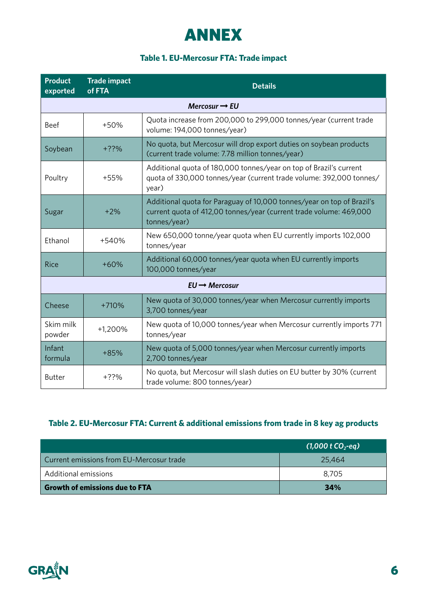# ANNEX

#### **Table 1. EU-Mercosur FTA: Trade impact**

| <b>Product</b><br>exported | <b>Trade impact</b><br>of FTA | <b>Details</b>                                                                                                                                               |  |  |  |
|----------------------------|-------------------------------|--------------------------------------------------------------------------------------------------------------------------------------------------------------|--|--|--|
| Mercosur $\rightarrow$ EU  |                               |                                                                                                                                                              |  |  |  |
| Beef                       | $+50%$                        | Quota increase from 200,000 to 299,000 tonnes/year (current trade<br>volume: 194,000 tonnes/year)                                                            |  |  |  |
| Soybean                    | $+??%$                        | No quota, but Mercosur will drop export duties on soybean products<br>(current trade volume: 7.78 million tonnes/year)                                       |  |  |  |
| Poultry                    | +55%                          | Additional quota of 180,000 tonnes/year on top of Brazil's current<br>quota of 330,000 tonnes/year (current trade volume: 392,000 tonnes/<br>year)           |  |  |  |
| Sugar                      | $+2%$                         | Additional quota for Paraguay of 10,000 tonnes/year on top of Brazil's<br>current quota of 412,00 tonnes/year (current trade volume: 469,000<br>tonnes/year) |  |  |  |
| Ethanol                    | +540%                         | New 650,000 tonne/year quota when EU currently imports 102,000<br>tonnes/year                                                                                |  |  |  |
| <b>Rice</b>                | $+60%$                        | Additional 60,000 tonnes/year quota when EU currently imports<br>100,000 tonnes/year                                                                         |  |  |  |
| $EU \rightarrow$ Mercosur  |                               |                                                                                                                                                              |  |  |  |
| Cheese                     | $+710%$                       | New quota of 30,000 tonnes/year when Mercosur currently imports<br>3,700 tonnes/year                                                                         |  |  |  |
| Skim milk<br>powder        | +1,200%                       | New quota of 10,000 tonnes/year when Mercosur currently imports 771<br>tonnes/year                                                                           |  |  |  |
| Infant<br>formula          | $+85%$                        | New quota of 5,000 tonnes/year when Mercosur currently imports<br>2,700 tonnes/year                                                                          |  |  |  |
| <b>Butter</b>              | $+??%$                        | No quota, but Mercosur will slash duties on EU butter by 30% (current<br>trade volume: 800 tonnes/year)                                                      |  |  |  |

### **Table 2. EU-Mercosur FTA: Current & additional emissions from trade in 8 key ag products**

|                                          | $(1,000 \text{ t } CO_{2}$ -eg) |
|------------------------------------------|---------------------------------|
| Current emissions from EU-Mercosur trade | 25,464                          |
| Additional emissions                     | 8,705                           |
| <b>Growth of emissions due to FTA</b>    | 34%                             |

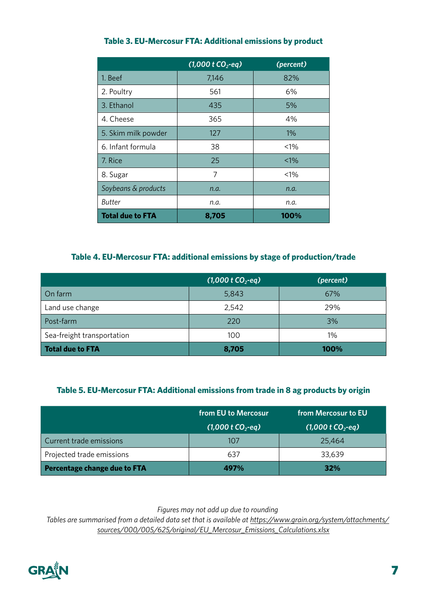|                         | $(1,000$ t CO <sub>2</sub> -eq) | (percent) |
|-------------------------|---------------------------------|-----------|
| 1. Beef                 | 7,146                           | 82%       |
| 2. Poultry              | 561                             | 6%        |
| 3. Ethanol              | 435                             | 5%        |
| 4. Cheese               | 365                             | 4%        |
| 5. Skim milk powder     | 127                             | $1\%$     |
| 6. Infant formula       | 38                              | $< 1\%$   |
| 7. Rice                 | 25                              | $< 1\%$   |
| 8. Sugar                | 7                               | $< 1\%$   |
| Soybeans & products     | n.a.                            | n.a.      |
| Butter                  | n.a.                            | n.a.      |
| <b>Total due to FTA</b> | 8,705                           | 100%      |

#### **Table 3. EU-Mercosur FTA: Additional emissions by product**

#### **Table 4. EU-Mercosur FTA: additional emissions by stage of production/trade**

|                            | $(1,000 \text{ t } CO_{2}$ -eq) | (percent) |
|----------------------------|---------------------------------|-----------|
| On farm                    | 5,843                           | 67%       |
| Land use change            | 2,542                           | 29%       |
| Post-farm                  | 220                             | 3%        |
| Sea-freight transportation | 100                             | 1%        |
| <b>Total due to FTA</b>    | 8,705                           | 100%      |

#### **Table 5. EU-Mercosur FTA: Additional emissions from trade in 8 ag products by origin**

|                              | from EU to Mercosur             | from Mercosur to EU |
|------------------------------|---------------------------------|---------------------|
|                              | $(1,000 \text{ t } CO_{2}$ -eg) | $(1,000 \t{c}0,eq)$ |
| Current trade emissions      | 107                             | 25,464              |
| Projected trade emissions    | 637                             | 33,639              |
| Percentage change due to FTA | 497%                            | 32%                 |

*Figures may not add up due to rounding*

*Tables are summarised from a detailed data set that is available at [https://www.grain.org/system/attachments/](https://www.grain.org/system/attachments/sources/000/005/625/original/EU_Mercosur_Emissions_Calculations.xlsx
) [sources/000/005/625/original/EU\\_Mercosur\\_Emissions\\_Calculations.xlsx](https://www.grain.org/system/attachments/sources/000/005/625/original/EU_Mercosur_Emissions_Calculations.xlsx
)*